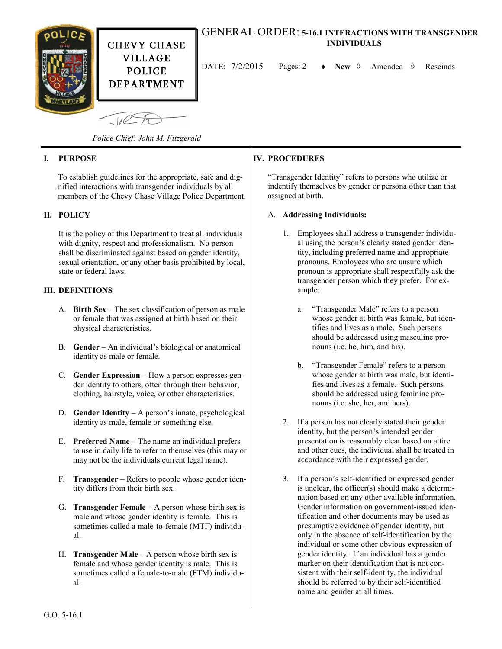

CHEVY CHASE VILLAGE POLICE DEPARTMENT

# GENERAL ORDER: **5-16.1 INTERACTIONS WITH TRANSGENDER INDIVIDUALS**

DATE:  $7/2/2015$  Pages: 2  $\rightarrow$  New  $\Diamond$  Amended  $\Diamond$  Rescinds

 $\sqrt{10}$ *Police Chief: John M. Fitzgerald*

# **I. PURPOSE**

To establish guidelines for the appropriate, safe and dignified interactions with transgender individuals by all members of the Chevy Chase Village Police Department.

# **II. POLICY**

It is the policy of this Department to treat all individuals with dignity, respect and professionalism. No person shall be discriminated against based on gender identity, sexual orientation, or any other basis prohibited by local, state or federal laws.

# **III. DEFINITIONS**

- A. **Birth Sex** The sex classification of person as male or female that was assigned at birth based on their physical characteristics.
- B. **Gender** An individual's biological or anatomical identity as male or female.
- C. **Gender Expression**  How a person expresses gender identity to others, often through their behavior, clothing, hairstyle, voice, or other characteristics.
- D. **Gender Identity** A person's innate, psychological identity as male, female or something else.
- E. **Preferred Name** The name an individual prefers to use in daily life to refer to themselves (this may or may not be the individuals current legal name).
- F. **Transgender**  Refers to people whose gender identity differs from their birth sex.
- G. **Transgender Female** A person whose birth sex is male and whose gender identity is female. This is sometimes called a male-to-female (MTF) individual.
- H. **Transgender Male** A person whose birth sex is female and whose gender identity is male. This is sometimes called a female-to-male (FTM) individual.

# **IV. PROCEDURES**

"Transgender Identity" refers to persons who utilize or indentify themselves by gender or persona other than that assigned at birth.

#### A. **Addressing Individuals:**

- 1. Employees shall address a transgender individual using the person's clearly stated gender identity, including preferred name and appropriate pronouns. Employees who are unsure which pronoun is appropriate shall respectfully ask the transgender person which they prefer. For example:
	- a. "Transgender Male" refers to a person whose gender at birth was female, but identifies and lives as a male. Such persons should be addressed using masculine pronouns (i.e. he, him, and his).
	- b. "Transgender Female" refers to a person whose gender at birth was male, but identifies and lives as a female. Such persons should be addressed using feminine pronouns (i.e. she, her, and hers).
- 2. If a person has not clearly stated their gender identity, but the person's intended gender presentation is reasonably clear based on attire and other cues, the individual shall be treated in accordance with their expressed gender.
- 3. If a person's self-identified or expressed gender is unclear, the officer(s) should make a determination based on any other available information. Gender information on government-issued identification and other documents may be used as presumptive evidence of gender identity, but only in the absence of self-identification by the individual or some other obvious expression of gender identity. If an individual has a gender marker on their identification that is not consistent with their self-identity, the individual should be referred to by their self-identified name and gender at all times.